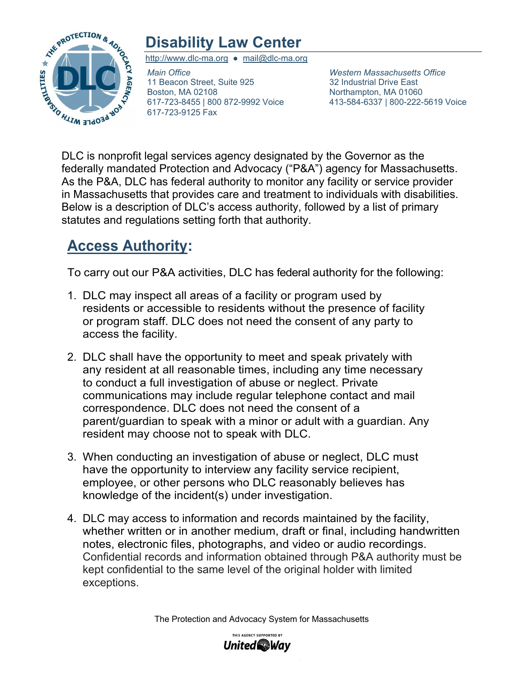

## **Disability Law Center**

http://www.dlc-ma.org ● mail@dlc-ma.org

*Main Office*  11 Beacon Street, Suite 925 Boston, MA 02108 617-723-8455 | 800 872-9992 Voice 617-723-9125 Fax

*Western Massachusetts Office* 32 Industrial Drive East Northampton, MA 01060 413-584-6337 | 800-222-5619 Voice

DLC is nonprofit legal services agency designated by the Governor as the federally mandated Protection and Advocacy ("P&A") agency for Massachusetts. As the P&A, DLC has federal authority to monitor any facility or service provider in Massachusetts that provides care and treatment to individuals with disabilities. Below is a description of DLC's access authority, followed by a list of primary statutes and regulations setting forth that authority.

## **Access Authority:**

To carry out our P&A activities, DLC has federal authority for the following:

- 1. DLC may inspect all areas of a facility or program used by residents or accessible to residents without the presence of facility or program staff. DLC does not need the consent of any party to access the facility.
- 2. DLC shall have the opportunity to meet and speak privately with any resident at all reasonable times, including any time necessary to conduct a full investigation of abuse or neglect. Private communications may include regular telephone contact and mail correspondence. DLC does not need the consent of a parent/guardian to speak with a minor or adult with a guardian. Any resident may choose not to speak with DLC.
- 3. When conducting an investigation of abuse or neglect, DLC must have the opportunity to interview any facility service recipient, employee, or other persons who DLC reasonably believes has knowledge of the incident(s) under investigation.
- 4. DLC may access to information and records maintained by the facility, whether written or in another medium, draft or final, including handwritten notes, electronic files, photographs, and video or audio recordings. Confidential records and information obtained through P&A authority must be kept confidential to the same level of the original holder with limited exceptions.

The Protection and Advocacy System for Massachusetts